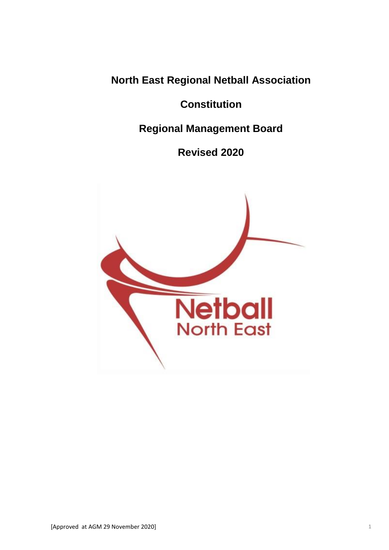**North East Regional Netball Association** 

**Constitution** 

**Regional Management Board**

**Revised 2020**

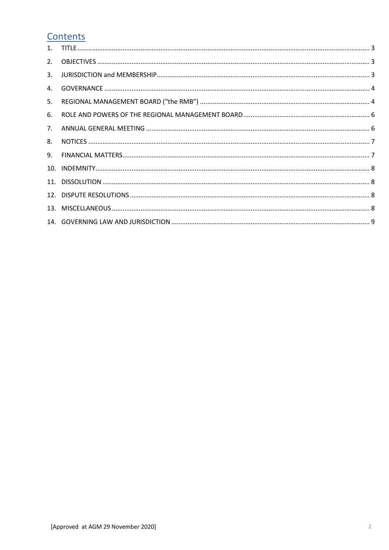# Contents

| 2. |  |
|----|--|
| 3. |  |
| 4. |  |
|    |  |
| 6. |  |
| 7. |  |
| 8. |  |
|    |  |
|    |  |
|    |  |
|    |  |
|    |  |
|    |  |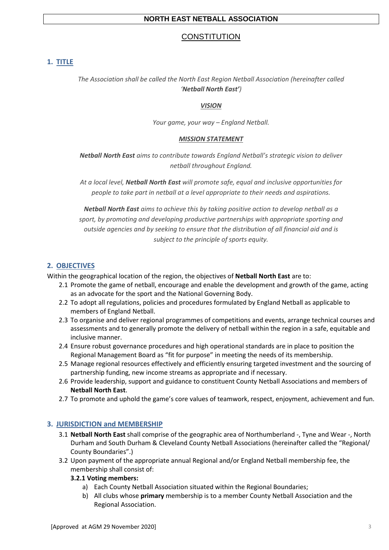## **NORTH EAST NETBALL ASSOCIATION**

# **CONSTITUTION**

## <span id="page-2-0"></span>**1. TITLE**

# *The Association shall be called the North East Region Netball Association (hereinafter called 'Netball North East')*

#### *VISION*

*Your game, your way – England Netball.*

#### *MISSION STATEMENT*

*Netball North East aims to contribute towards England Netball's strategic vision to deliver netball throughout England.* 

*At a local level, Netball North East will promote safe, equal and inclusive opportunities for people to take part in netball at a level appropriate to their needs and aspirations.*

*Netball North East aims to achieve this by taking positive action to develop netball as a sport, by promoting and developing productive partnerships with appropriate sporting and outside agencies and by seeking to ensure that the distribution of all financial aid and is subject to the principle of sports equity.*

## <span id="page-2-1"></span>**2. OBJECTIVES**

Within the geographical location of the region, the objectives of **Netball North East** are to:

- 2.1 Promote the game of netball, encourage and enable the development and growth of the game, acting as an advocate for the sport and the National Governing Body.
- 2.2 To adopt all regulations, policies and procedures formulated by England Netball as applicable to members of England Netball.
- 2.3 To organise and deliver regional programmes of competitions and events, arrange technical courses and assessments and to generally promote the delivery of netball within the region in a safe, equitable and inclusive manner.
- 2.4 Ensure robust governance procedures and high operational standards are in place to position the Regional Management Board as "fit for purpose" in meeting the needs of its membership.
- 2.5 Manage regional resources effectively and efficiently ensuring targeted investment and the sourcing of partnership funding, new income streams as appropriate and if necessary.
- 2.6 Provide leadership, support and guidance to constituent County Netball Associations and members of **Netball North East**.
- <span id="page-2-2"></span>2.7 To promote and uphold the game's core values of teamwork, respect, enjoyment, achievement and fun.

## **3. JURISDICTION and MEMBERSHIP**

- 3.1 **Netball North East** shall comprise of the geographic area of Northumberland -, Tyne and Wear -, North Durham and South Durham & Cleveland County Netball Associations (hereinafter called the "Regional/ County Boundaries".)
- 3.2 Upon payment of the appropriate annual Regional and/or England Netball membership fee, the membership shall consist of:

#### **3.2.1 Voting members:**

- a) Each County Netball Association situated within the Regional Boundaries;
- b) All clubs whose **primary** membership is to a member County Netball Association and the Regional Association.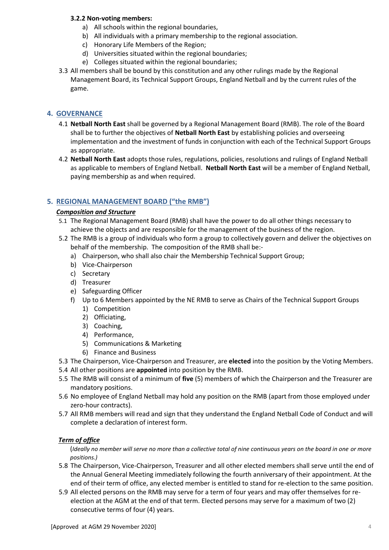#### **3.2.2 Non-voting members:**

- a) All schools within the regional boundaries,
- b) All individuals with a primary membership to the regional association.
- c) Honorary Life Members of the Region;
- d) Universities situated within the regional boundaries;
- e) Colleges situated within the regional boundaries;
- 3.3 All members shall be bound by this constitution and any other rulings made by the Regional Management Board, its Technical Support Groups, England Netball and by the current rules of the game.

## <span id="page-3-0"></span>**4. GOVERNANCE**

- 4.1 **Netball North East** shall be governed by a Regional Management Board (RMB). The role of the Board shall be to further the objectives of **Netball North East** by establishing policies and overseeing implementation and the investment of funds in conjunction with each of the Technical Support Groups as appropriate.
- 4.2 **Netball North East** adopts those rules, regulations, policies, resolutions and rulings of England Netball as applicable to members of England Netball. **Netball North East** will be a member of England Netball, paying membership as and when required.

## <span id="page-3-1"></span>**5. REGIONAL MANAGEMENT BOARD ("the RMB")**

#### *Composition and Structure*

- 5.1 The Regional Management Board (RMB) shall have the power to do all other things necessary to achieve the objects and are responsible for the management of the business of the region.
- 5.2 The RMB is a group of individuals who form a group to collectively govern and deliver the objectives on behalf of the membership. The composition of the RMB shall be:
	- a) Chairperson, who shall also chair the Membership Technical Support Group;
	- b) Vice-Chairperson
	- c) Secretary
	- d) Treasurer
	- e) Safeguarding Officer
	- f) Up to 6 Members appointed by the NE RMB to serve as Chairs of the Technical Support Groups
		- 1) Competition
		- 2) Officiating,
		- 3) Coaching,
		- 4) Performance,
		- 5) Communications & Marketing
		- 6) Finance and Business
- 5.3 The Chairperson, Vice-Chairperson and Treasurer, are **elected** into the position by the Voting Members.
- 5.4 All other positions are **appointed** into position by the RMB.
- 5.5 The RMB will consist of a minimum of **five** (5) members of which the Chairperson and the Treasurer are mandatory positions.
- 5.6 No employee of England Netball may hold any position on the RMB (apart from those employed under zero-hour contracts).
- 5.7 All RMB members will read and sign that they understand the England Netball Code of Conduct and will complete a declaration of interest form.

## *Term of office*

(*Ideally no member will serve no more than a collective total of nine continuous years on the board in one or more positions.)*

- 5.8 The Chairperson, Vice-Chairperson, Treasurer and all other elected members shall serve until the end of the Annual General Meeting immediately following the fourth anniversary of their appointment. At the end of their term of office, any elected member is entitled to stand for re-election to the same position.
- 5.9 All elected persons on the RMB may serve for a term of four years and may offer themselves for reelection at the AGM at the end of that term. Elected persons may serve for a maximum of two (2) consecutive terms of four (4) years.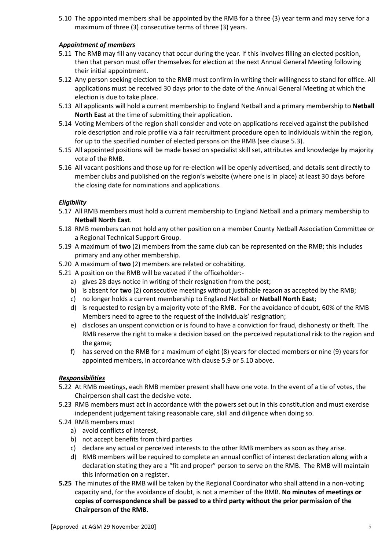5.10 The appointed members shall be appointed by the RMB for a three (3) year term and may serve for a maximum of three (3) consecutive terms of three (3) years.

## *Appointment of members*

- 5.11 The RMB may fill any vacancy that occur during the year. If this involves filling an elected position, then that person must offer themselves for election at the next Annual General Meeting following their initial appointment.
- 5.12 Any person seeking election to the RMB must confirm in writing their willingness to stand for office. All applications must be received 30 days prior to the date of the Annual General Meeting at which the election is due to take place.
- 5.13 All applicants will hold a current membership to England Netball and a primary membership to **Netball North East** at the time of submitting their application.
- 5.14 Voting Members of the region shall consider and vote on applications received against the published role description and role profile via a fair recruitment procedure open to individuals within the region, for up to the specified number of elected persons on the RMB (see clause 5.3).
- 5.15 All appointed positions will be made based on specialist skill set, attributes and knowledge by majority vote of the RMB.
- 5.16 All vacant positions and those up for re-election will be openly advertised, and details sent directly to member clubs and published on the region's website (where one is in place) at least 30 days before the closing date for nominations and applications.

## *Eligibility*

- 5.17 All RMB members must hold a current membership to England Netball and a primary membership to **Netball North East**.
- 5.18 RMB members can not hold any other position on a member County Netball Association Committee or a Regional Technical Support Group.
- 5.19 A maximum of **two** (2) members from the same club can be represented on the RMB; this includes primary and any other membership.
- 5.20 A maximum of **two** (2) members are related or cohabiting.
- 5.21 A position on the RMB will be vacated if the officeholder:
	- a) gives 28 days notice in writing of their resignation from the post;
	- b) is absent for **two** (2) consecutive meetings without justifiable reason as accepted by the RMB;
	- c) no longer holds a current membership to England Netball or **Netball North East**;
	- d) is requested to resign by a majority vote of the RMB. For the avoidance of doubt, 60% of the RMB Members need to agree to the request of the individuals' resignation;
	- e) discloses an unspent conviction or is found to have a conviction for fraud, dishonesty or theft. The RMB reserve the right to make a decision based on the perceived reputational risk to the region and the game;
	- f) has served on the RMB for a maximum of eight (8) years for elected members or nine (9) years for appointed members, in accordance with clause 5.9 or 5.10 above.

#### *Responsibilities*

- 5.22 At RMB meetings, each RMB member present shall have one vote. In the event of a tie of votes, the Chairperson shall cast the decisive vote.
- 5.23 RMB members must act in accordance with the powers set out in this constitution and must exercise independent judgement taking reasonable care, skill and diligence when doing so.
- 5.24 RMB members must
	- a) avoid conflicts of interest,
	- b) not accept benefits from third parties
	- c) declare any actual or perceived interests to the other RMB members as soon as they arise.
	- d) RMB members will be required to complete an annual conflict of interest declaration along with a declaration stating they are a "fit and proper" person to serve on the RMB. The RMB will maintain this information on a register.
- **5.25** The minutes of the RMB will be taken by the Regional Coordinator who shall attend in a non-voting capacity and, for the avoidance of doubt, is not a member of the RMB. **No minutes of meetings or copies of correspondence shall be passed to a third party without the prior permission of the Chairperson of the RMB.**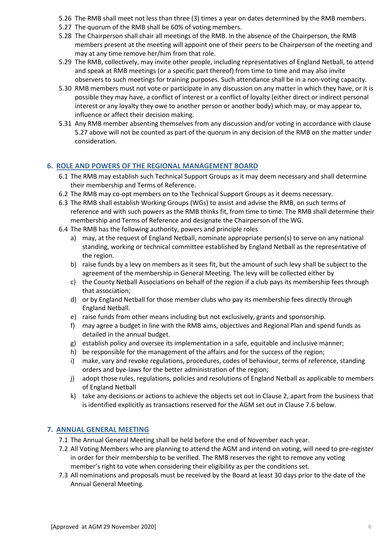- 5.26 The RMB shall meet not less than three (3) times a year on dates determined by the RMB members.
- 5.27 The quorum of the RMB shall be 60% of voting members.
- 5.28 The Chairperson shall chair all meetings of the RMB. In the absence of the Chairperson, the RMB members present at the meeting will appoint one of their peers to be Chairperson of the meeting and may at any time remove her/him from that role.
- 5.29 The RMB, collectively, may invite other people, including representatives of England Netball, to attend and speak at RMB meetings (or a specific part thereof) from time to time and may also invite observers to such meetings for training purposes. Such attendance shall be in a non-voting capacity.
- 5.30 RMB members must not vote or participate in any discussion on any matter in which they have, or it is possible they may have, a conflict of interest or a conflict of loyalty (either direct or indirect personal interest or any loyalty they owe to another person or another body) which may, or may appear to, influence or affect their decision making.
- 5.31 Any RMB member absenting themselves from any discussion and/or voting in accordance with clause 5.27 above will not be counted as part of the quorum in any decision of the RMB on the matter under consideration.

## <span id="page-5-0"></span>**6. ROLE AND POWERS OF THE REGIONAL MANAGEMENT BOARD**

- 6.1 The RMB may establish such Technical Support Groups as it may deem necessary and shall determine their membership and Terms of Reference.
- 6.2 The RMB may co-opt members on to the Technical Support Groups as it deems necessary.
- 6.3 The RMB shall establish Working Groups (WGs) to assist and advise the RMB, on such terms of reference and with such powers as the RMB thinks fit, from time to time. The RMB shall determine their membership and Terms of Reference and designate the Chairperson of the WG.
- 6.4 The RMB has the following authority, powers and principle roles
	- a) may, at the request of England Netball, nominate appropriate person(s) to serve on any national standing, working or technical committee established by England Netball as the representative of the region.
	- b) raise funds by a levy on members as it sees fit, but the amount of such levy shall be subject to the agreement of the membership in General Meeting. The levy will be collected either by
	- c) the County Netball Associations on behalf of the region if a club pays its membership fees through that association;
	- d) or by England Netball for those member clubs who pay its membership fees directly through England Netball.
	- e) raise funds from other means including but not exclusively, grants and sponsorship.
	- f) may agree a budget in line with the RMB aims, objectives and Regional Plan and spend funds as detailed in the annual budget.
	- g) establish policy and oversee its implementation in a safe, equitable and inclusive manner;
	- h) be responsible for the management of the affairs and for the success of the region;
	- i) make, vary and revoke regulations, procedures, codes of behaviour, terms of reference, standing orders and bye-laws for the better administration of the region;
	- j) adopt those rules, regulations, policies and resolutions of England Netball as applicable to members of England Netball
	- k) take any decisions or actions to achieve the objects set out in Clause 2, apart from the business that is identified explicitly as transactions reserved for the AGM set out in Clause 7.6 below.

## <span id="page-5-1"></span>**7. ANNUAL GENERAL MEETING**

- 7.1 The Annual General Meeting shall be held before the end of November each year.
- 7.2 All Voting Members who are planning to attend the AGM and intend on voting, will need to pre-register in order for their membership to be verified. The RMB reserves the right to remove any voting member's right to vote when considering their eligibility as per the conditions set.
- 7.3 All nominations and proposals must be received by the Board at least 30 days prior to the date of the Annual General Meeting.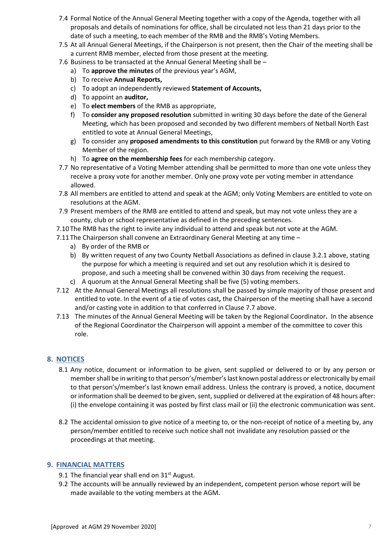- 7.4 Formal Notice of the Annual General Meeting together with a copy of the Agenda, together with all proposals and details of nominations for office, shall be circulated not less than 21 days prior to the date of such a meeting, to each member of the RMB and the RMB's Voting Members.
- 7.5 At all Annual General Meetings, if the Chairperson is not present, then the Chair of the meeting shall be a current RMB member, elected from those present at the meeting.
- 7.6 Business to be transacted at the Annual General Meeting shall be
	- a) To **approve the minutes** of the previous year's AGM,
	- b) To receive **Annual Reports,**
	- c) To adopt an independently reviewed **Statement of Accounts,**
	- d) To appoint an **auditor,**
	- e) To **elect members** of the RMB as appropriate,
	- f) To **consider any proposed resolution** submitted in writing 30 days before the date of the General Meeting, which has been proposed and seconded by two different members of Netball North East entitled to vote at Annual General Meetings,
	- g) To consider any **proposed amendments to this constitution** put forward by the RMB or any Voting Member of the region.
	- h) To **agree on the membership fees** for each membership category.
- 7.7 No representative of a Voting Member attending shall be permitted to more than one vote unless they receive a proxy vote for another member. Only one proxy vote per voting member in attendance allowed.
- 7.8 All members are entitled to attend and speak at the AGM; only Voting Members are entitled to vote on resolutions at the AGM.
- 7.9 Present members of the RMB are entitled to attend and speak, but may not vote unless they are a county, club or school representative as defined in the preceding sentences.
- 7.10 The RMB has the right to invite any individual to attend and speak but not vote at the AGM.
- 7.11 The Chairperson shall convene an Extraordinary General Meeting at any time
	- a) By order of the RMB or
	- b) By written request of any two County Netball Associations as defined in clause 3.2.1 above, stating the purpose for which a meeting is required and set out any resolution which it is desired to propose, and such a meeting shall be convened within 30 days from receiving the request.
	- c) A quorum at the Annual General Meeting shall be five (5) voting members.
- 7.12 At the Annual General Meetings all resolutions shall be passed by simple majority of those present and entitled to vote. In the event of a tie of votes cast**,** the Chairperson of the meeting shall have a second and/or casting vote in addition to that conferred in Clause 7.7 above.
- 7.13 The minutes of the Annual General Meeting will be taken by the Regional Coordinator**.** In the absence of the Regional Coordinator the Chairperson will appoint a member of the committee to cover this role.

## <span id="page-6-0"></span>**8. NOTICES**

- 8.1 Any notice, document or information to be given, sent supplied or delivered to or by any person or member shall be in writing to that person's/member's last known postal address or electronically by email to that person's/member's last known email address. Unless the contrary is proved, a notice, document or information shall be deemed to be given, sent, supplied or delivered at the expiration of 48 hours after: (i) the envelope containing it was posted by first class mail or (ii) the electronic communication was sent.
- 8.2 The accidental omission to give notice of a meeting to, or the non-receipt of notice of a meeting by, any person/member entitled to receive such notice shall not invalidate any resolution passed or the proceedings at that meeting.

#### <span id="page-6-1"></span>**9. FINANCIAL MATTERS**

- 9.1 The financial year shall end on  $31<sup>st</sup>$  August.
- 9.2 The accounts will be annually reviewed by an independent, competent person whose report will be made available to the voting members at the AGM.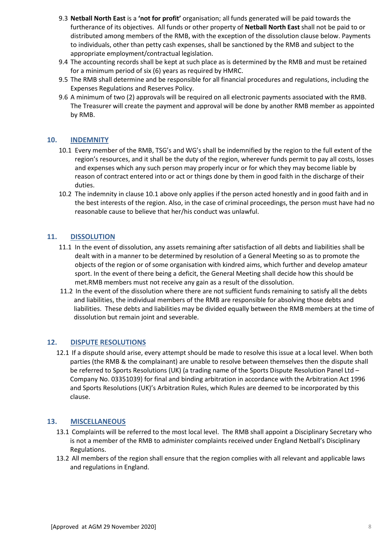- 9.3 **Netball North East** is a **'not for profit'** organisation; all funds generated will be paid towards the furtherance of its objectives. All funds or other property of **Netball North East** shall not be paid to or distributed among members of the RMB, with the exception of the dissolution clause below. Payments to individuals, other than petty cash expenses, shall be sanctioned by the RMB and subject to the appropriate employment/contractual legislation.
- 9.4 The accounting records shall be kept at such place as is determined by the RMB and must be retained for a minimum period of six (6) years as required by HMRC.
- 9.5 The RMB shall determine and be responsible for all financial procedures and regulations, including the Expenses Regulations and Reserves Policy.
- 9.6 A minimum of two (2) approvals will be required on all electronic payments associated with the RMB. The Treasurer will create the payment and approval will be done by another RMB member as appointed by RMB.

## <span id="page-7-0"></span>**10. INDEMNITY**

- 10.1 Every member of the RMB, TSG's and WG's shall be indemnified by the region to the full extent of the region's resources, and it shall be the duty of the region, wherever funds permit to pay all costs, losses and expenses which any such person may properly incur or for which they may become liable by reason of contract entered into or act or things done by them in good faith in the discharge of their duties.
- 10.2 The indemnity in clause 10.1 above only applies if the person acted honestly and in good faith and in the best interests of the region. Also, in the case of criminal proceedings, the person must have had no reasonable cause to believe that her/his conduct was unlawful.

#### <span id="page-7-1"></span>**11. DISSOLUTION**

- 11.1 In the event of dissolution, any assets remaining after satisfaction of all debts and liabilities shall be dealt with in a manner to be determined by resolution of a General Meeting so as to promote the objects of the region or of some organisation with kindred aims, which further and develop amateur sport. In the event of there being a deficit, the General Meeting shall decide how this should be met.RMB members must not receive any gain as a result of the dissolution.
- 11.2 In the event of the dissolution where there are not sufficient funds remaining to satisfy all the debts and liabilities, the individual members of the RMB are responsible for absolving those debts and liabilities. These debts and liabilities may be divided equally between the RMB members at the time of dissolution but remain joint and severable.

#### <span id="page-7-2"></span>**12. DISPUTE RESOLUTIONS**

12.1 If a dispute should arise, every attempt should be made to resolve this issue at a local level. When both parties (the RMB & the complainant) are unable to resolve between themselves then the dispute shall be referred to Sports Resolutions (UK) (a trading name of the Sports Dispute Resolution Panel Ltd – Company No. 03351039) for final and binding arbitration in accordance with the Arbitration Act 1996 and Sports Resolutions (UK)'s Arbitration Rules, which Rules are deemed to be incorporated by this clause.

#### <span id="page-7-3"></span>**13. MISCELLANEOUS**

- 13.1 Complaints will be referred to the most local level. The RMB shall appoint a Disciplinary Secretary who is not a member of the RMB to administer complaints received under England Netball's Disciplinary Regulations.
- 13.2 All members of the region shall ensure that the region complies with all relevant and applicable laws and regulations in England.